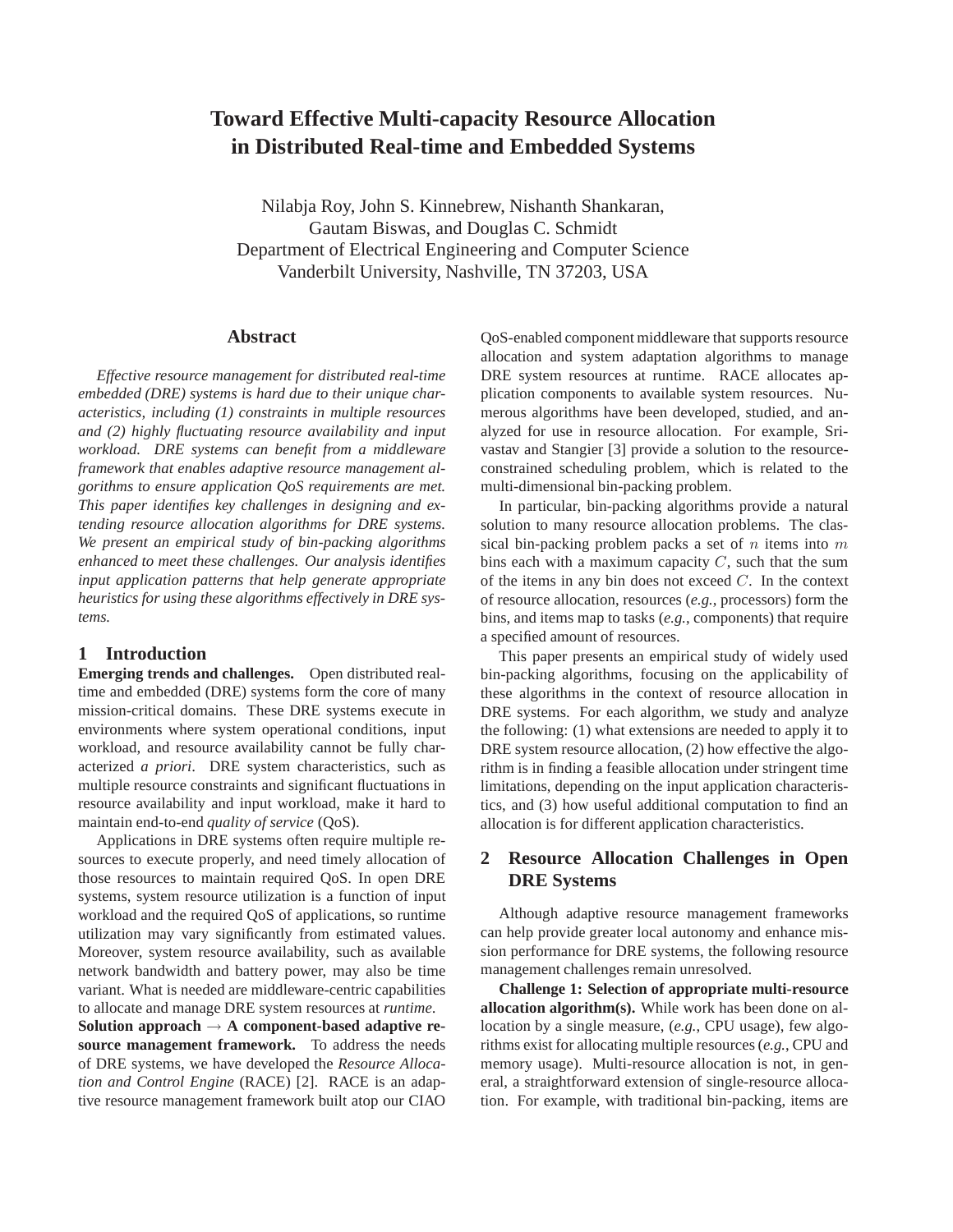# **Toward Effective Multi-capacity Resource Allocation in Distributed Real-time and Embedded Systems**

Nilabja Roy, John S. Kinnebrew, Nishanth Shankaran, Gautam Biswas, and Douglas C. Schmidt Department of Electrical Engineering and Computer Science Vanderbilt University, Nashville, TN 37203, USA

## **Abstract**

*Effective resource management for distributed real-time embedded (DRE) systems is hard due to their unique characteristics, including (1) constraints in multiple resources and (2) highly fluctuating resource availability and input workload. DRE systems can benefit from a middleware framework that enables adaptive resource management algorithms to ensure application QoS requirements are met. This paper identifies key challenges in designing and extending resource allocation algorithms for DRE systems. We present an empirical study of bin-packing algorithms enhanced to meet these challenges. Our analysis identifies input application patterns that help generate appropriate heuristics for using these algorithms effectively in DRE systems.*

# **1 Introduction**

**Emerging trends and challenges.** Open distributed realtime and embedded (DRE) systems form the core of many mission-critical domains. These DRE systems execute in environments where system operational conditions, input workload, and resource availability cannot be fully characterized *a priori*. DRE system characteristics, such as multiple resource constraints and significant fluctuations in resource availability and input workload, make it hard to maintain end-to-end *quality of service* (QoS).

Applications in DRE systems often require multiple resources to execute properly, and need timely allocation of those resources to maintain required QoS. In open DRE systems, system resource utilization is a function of input workload and the required QoS of applications, so runtime utilization may vary significantly from estimated values. Moreover, system resource availability, such as available network bandwidth and battery power, may also be time variant. What is needed are middleware-centric capabilities to allocate and manage DRE system resources at *runtime*.

**Solution approach** → **A component-based adaptive resource management framework.** To address the needs of DRE systems, we have developed the *Resource Allocation and Control Engine* (RACE) [2]. RACE is an adaptive resource management framework built atop our CIAO

QoS-enabled component middleware that supports resource allocation and system adaptation algorithms to manage DRE system resources at runtime. RACE allocates application components to available system resources. Numerous algorithms have been developed, studied, and analyzed for use in resource allocation. For example, Srivastav and Stangier [3] provide a solution to the resourceconstrained scheduling problem, which is related to the multi-dimensional bin-packing problem.

In particular, bin-packing algorithms provide a natural solution to many resource allocation problems. The classical bin-packing problem packs a set of  $n$  items into  $m$ bins each with a maximum capacity  $C$ , such that the sum of the items in any bin does not exceed  $C$ . In the context of resource allocation, resources (*e.g.*, processors) form the bins, and items map to tasks (*e.g.*, components) that require a specified amount of resources.

This paper presents an empirical study of widely used bin-packing algorithms, focusing on the applicability of these algorithms in the context of resource allocation in DRE systems. For each algorithm, we study and analyze the following: (1) what extensions are needed to apply it to DRE system resource allocation, (2) how effective the algorithm is in finding a feasible allocation under stringent time limitations, depending on the input application characteristics, and (3) how useful additional computation to find an allocation is for different application characteristics.

# **2 Resource Allocation Challenges in Open DRE Systems**

Although adaptive resource management frameworks can help provide greater local autonomy and enhance mission performance for DRE systems, the following resource management challenges remain unresolved.

**Challenge 1: Selection of appropriate multi-resource allocation algorithm(s).** While work has been done on allocation by a single measure, (*e.g.*, CPU usage), few algorithms exist for allocating multiple resources (*e.g.*, CPU and memory usage). Multi-resource allocation is not, in general, a straightforward extension of single-resource allocation. For example, with traditional bin-packing, items are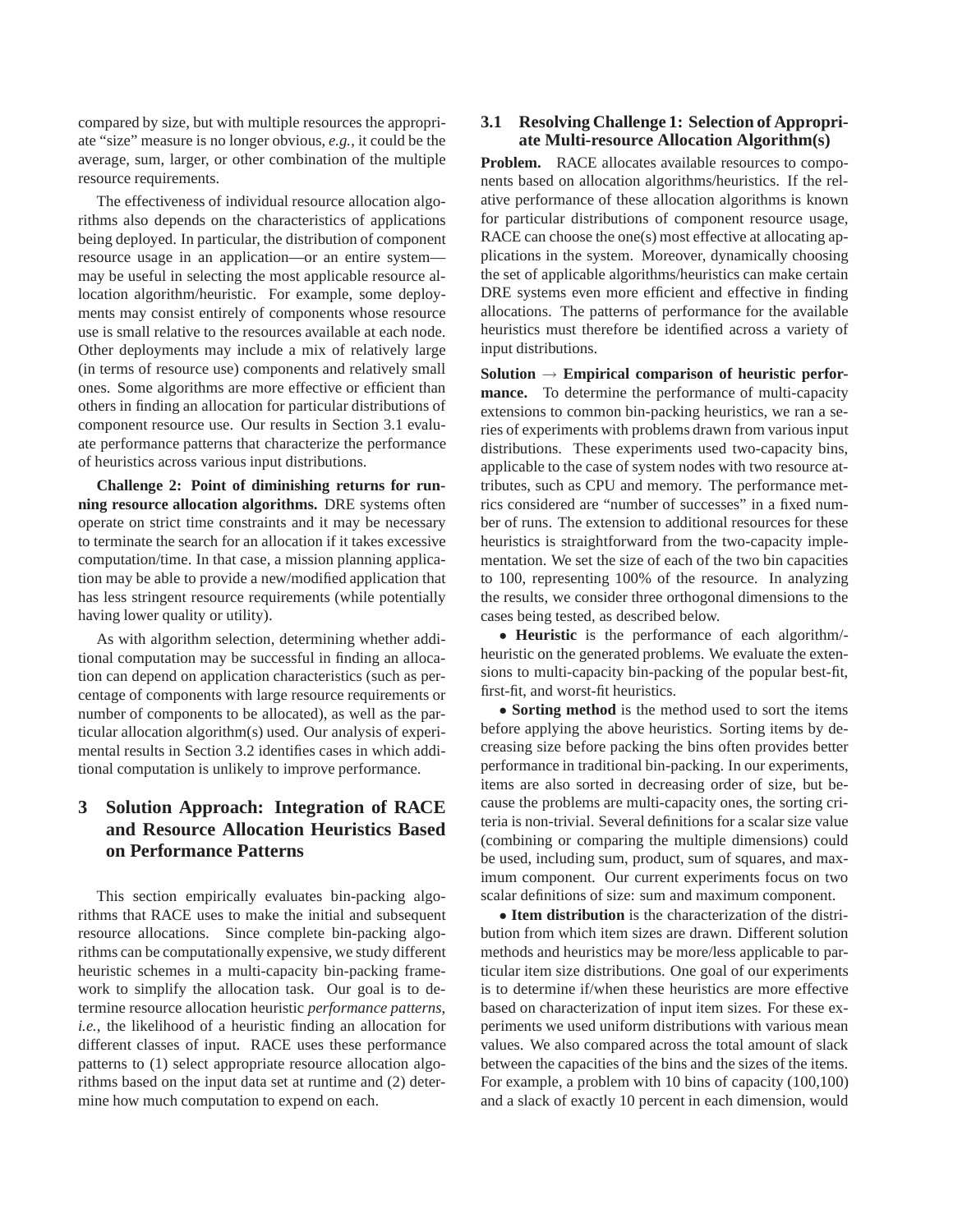compared by size, but with multiple resources the appropriate "size" measure is no longer obvious, *e.g.*, it could be the average, sum, larger, or other combination of the multiple resource requirements.

The effectiveness of individual resource allocation algorithms also depends on the characteristics of applications being deployed. In particular, the distribution of component resource usage in an application—or an entire system may be useful in selecting the most applicable resource allocation algorithm/heuristic. For example, some deployments may consist entirely of components whose resource use is small relative to the resources available at each node. Other deployments may include a mix of relatively large (in terms of resource use) components and relatively small ones. Some algorithms are more effective or efficient than others in finding an allocation for particular distributions of component resource use. Our results in Section 3.1 evaluate performance patterns that characterize the performance of heuristics across various input distributions.

**Challenge 2: Point of diminishing returns for running resource allocation algorithms.** DRE systems often operate on strict time constraints and it may be necessary to terminate the search for an allocation if it takes excessive computation/time. In that case, a mission planning application may be able to provide a new/modified application that has less stringent resource requirements (while potentially having lower quality or utility).

As with algorithm selection, determining whether additional computation may be successful in finding an allocation can depend on application characteristics (such as percentage of components with large resource requirements or number of components to be allocated), as well as the particular allocation algorithm(s) used. Our analysis of experimental results in Section 3.2 identifies cases in which additional computation is unlikely to improve performance.

# **3 Solution Approach: Integration of RACE and Resource Allocation Heuristics Based on Performance Patterns**

This section empirically evaluates bin-packing algorithms that RACE uses to make the initial and subsequent resource allocations. Since complete bin-packing algorithms can be computationally expensive, we study different heuristic schemes in a multi-capacity bin-packing framework to simplify the allocation task. Our goal is to determine resource allocation heuristic *performance patterns*, *i.e.*, the likelihood of a heuristic finding an allocation for different classes of input. RACE uses these performance patterns to (1) select appropriate resource allocation algorithms based on the input data set at runtime and (2) determine how much computation to expend on each.

## **3.1 Resolving Challenge 1: Selection of Appropriate Multi-resource Allocation Algorithm(s)**

**Problem.** RACE allocates available resources to components based on allocation algorithms/heuristics. If the relative performance of these allocation algorithms is known for particular distributions of component resource usage, RACE can choose the one(s) most effective at allocating applications in the system. Moreover, dynamically choosing the set of applicable algorithms/heuristics can make certain DRE systems even more efficient and effective in finding allocations. The patterns of performance for the available heuristics must therefore be identified across a variety of input distributions.

**Solution** → **Empirical comparison of heuristic performance.** To determine the performance of multi-capacity extensions to common bin-packing heuristics, we ran a series of experiments with problems drawn from various input distributions. These experiments used two-capacity bins, applicable to the case of system nodes with two resource attributes, such as CPU and memory. The performance metrics considered are "number of successes" in a fixed number of runs. The extension to additional resources for these heuristics is straightforward from the two-capacity implementation. We set the size of each of the two bin capacities to 100, representing 100% of the resource. In analyzing the results, we consider three orthogonal dimensions to the cases being tested, as described below.

• **Heuristic** is the performance of each algorithm/ heuristic on the generated problems. We evaluate the extensions to multi-capacity bin-packing of the popular best-fit, first-fit, and worst-fit heuristics.

• **Sorting method** is the method used to sort the items before applying the above heuristics. Sorting items by decreasing size before packing the bins often provides better performance in traditional bin-packing. In our experiments, items are also sorted in decreasing order of size, but because the problems are multi-capacity ones, the sorting criteria is non-trivial. Several definitions for a scalar size value (combining or comparing the multiple dimensions) could be used, including sum, product, sum of squares, and maximum component. Our current experiments focus on two scalar definitions of size: sum and maximum component.

• **Item distribution** is the characterization of the distribution from which item sizes are drawn. Different solution methods and heuristics may be more/less applicable to particular item size distributions. One goal of our experiments is to determine if/when these heuristics are more effective based on characterization of input item sizes. For these experiments we used uniform distributions with various mean values. We also compared across the total amount of slack between the capacities of the bins and the sizes of the items. For example, a problem with 10 bins of capacity (100,100) and a slack of exactly 10 percent in each dimension, would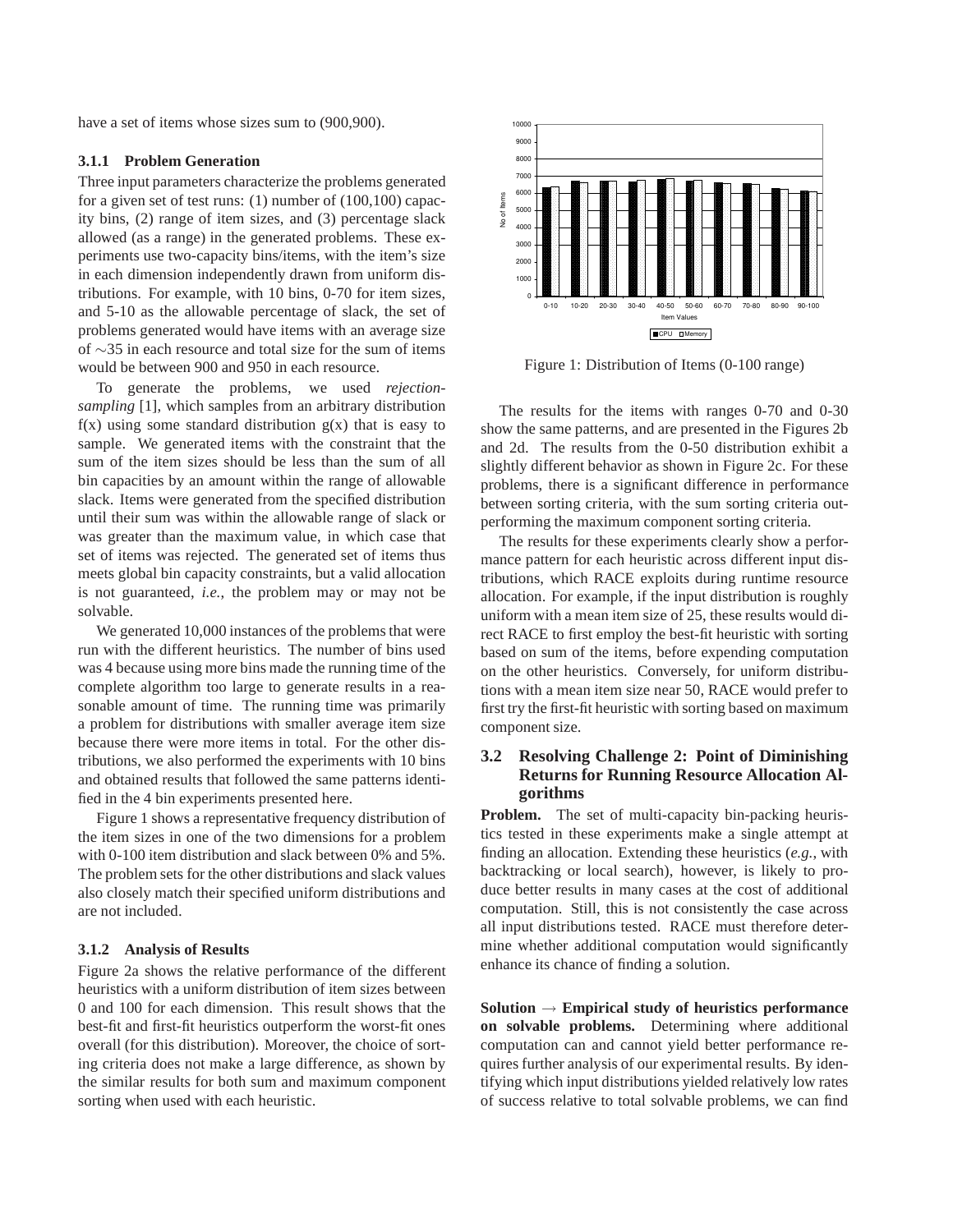have a set of items whose sizes sum to (900,900).

#### **3.1.1 Problem Generation**

Three input parameters characterize the problems generated for a given set of test runs: (1) number of (100,100) capacity bins, (2) range of item sizes, and (3) percentage slack allowed (as a range) in the generated problems. These experiments use two-capacity bins/items, with the item's size in each dimension independently drawn from uniform distributions. For example, with 10 bins, 0-70 for item sizes, and 5-10 as the allowable percentage of slack, the set of problems generated would have items with an average size of ∼35 in each resource and total size for the sum of items would be between 900 and 950 in each resource.

To generate the problems, we used *rejectionsampling* [1], which samples from an arbitrary distribution  $f(x)$  using some standard distribution  $g(x)$  that is easy to sample. We generated items with the constraint that the sum of the item sizes should be less than the sum of all bin capacities by an amount within the range of allowable slack. Items were generated from the specified distribution until their sum was within the allowable range of slack or was greater than the maximum value, in which case that set of items was rejected. The generated set of items thus meets global bin capacity constraints, but a valid allocation is not guaranteed, *i.e.*, the problem may or may not be solvable.

We generated 10,000 instances of the problems that were run with the different heuristics. The number of bins used was 4 because using more bins made the running time of the complete algorithm too large to generate results in a reasonable amount of time. The running time was primarily a problem for distributions with smaller average item size because there were more items in total. For the other distributions, we also performed the experiments with 10 bins and obtained results that followed the same patterns identified in the 4 bin experiments presented here.

Figure 1 shows a representative frequency distribution of the item sizes in one of the two dimensions for a problem with 0-100 item distribution and slack between 0% and 5%. The problem sets for the other distributions and slack values also closely match their specified uniform distributions and are not included.

## **3.1.2 Analysis of Results**

Figure 2a shows the relative performance of the different heuristics with a uniform distribution of item sizes between 0 and 100 for each dimension. This result shows that the best-fit and first-fit heuristics outperform the worst-fit ones overall (for this distribution). Moreover, the choice of sorting criteria does not make a large difference, as shown by the similar results for both sum and maximum component sorting when used with each heuristic.



Figure 1: Distribution of Items (0-100 range)

The results for the items with ranges 0-70 and 0-30 show the same patterns, and are presented in the Figures 2b and 2d. The results from the 0-50 distribution exhibit a slightly different behavior as shown in Figure 2c. For these problems, there is a significant difference in performance between sorting criteria, with the sum sorting criteria outperforming the maximum component sorting criteria.

The results for these experiments clearly show a performance pattern for each heuristic across different input distributions, which RACE exploits during runtime resource allocation. For example, if the input distribution is roughly uniform with a mean item size of 25, these results would direct RACE to first employ the best-fit heuristic with sorting based on sum of the items, before expending computation on the other heuristics. Conversely, for uniform distributions with a mean item size near 50, RACE would prefer to first try the first-fit heuristic with sorting based on maximum component size.

# **3.2 Resolving Challenge 2: Point of Diminishing Returns for Running Resource Allocation Algorithms**

**Problem.** The set of multi-capacity bin-packing heuristics tested in these experiments make a single attempt at finding an allocation. Extending these heuristics (*e.g.*, with backtracking or local search), however, is likely to produce better results in many cases at the cost of additional computation. Still, this is not consistently the case across all input distributions tested. RACE must therefore determine whether additional computation would significantly enhance its chance of finding a solution.

**Solution** → **Empirical study of heuristics performance on solvable problems.** Determining where additional computation can and cannot yield better performance requires further analysis of our experimental results. By identifying which input distributions yielded relatively low rates of success relative to total solvable problems, we can find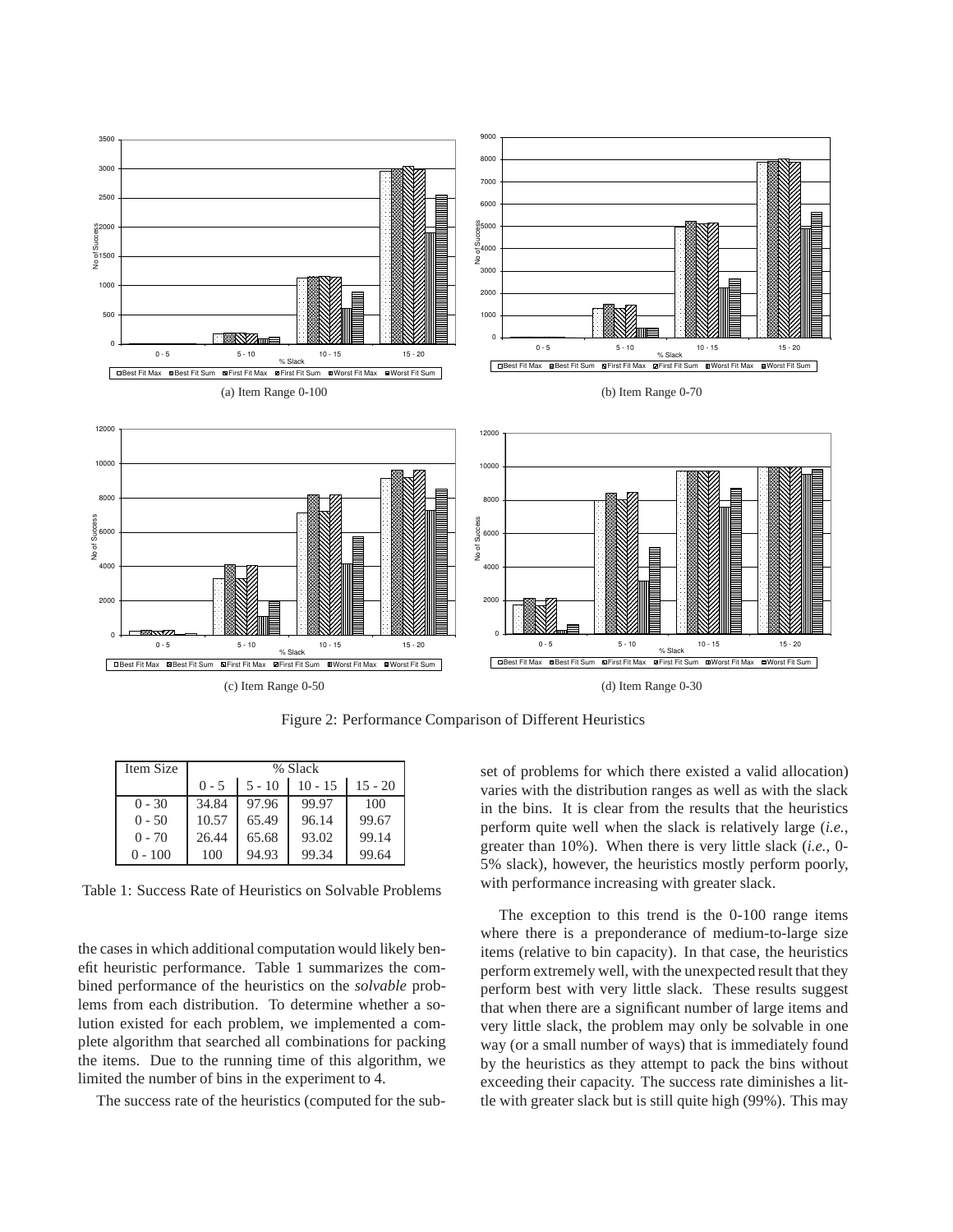

Figure 2: Performance Comparison of Different Heuristics

| Item Size | % Slack |          |           |           |
|-----------|---------|----------|-----------|-----------|
|           | $0 - 5$ | $5 - 10$ | $10 - 15$ | $15 - 20$ |
| $0 - 30$  | 34.84   | 97.96    | 99.97     | 100       |
| $0 - 50$  | 10.57   | 65.49    | 96.14     | 99.67     |
| $0 - 70$  | 26.44   | 65.68    | 93.02     | 99.14     |
| $0 - 100$ | 100     | 94.93    | 99.34     | 99.64     |

Table 1: Success Rate of Heuristics on Solvable Problems

the cases in which additional computation would likely benefit heuristic performance. Table 1 summarizes the combined performance of the heuristics on the *solvable* problems from each distribution. To determine whether a solution existed for each problem, we implemented a complete algorithm that searched all combinations for packing the items. Due to the running time of this algorithm, we limited the number of bins in the experiment to 4.

The success rate of the heuristics (computed for the sub-

set of problems for which there existed a valid allocation) varies with the distribution ranges as well as with the slack in the bins. It is clear from the results that the heuristics perform quite well when the slack is relatively large (*i.e.*, greater than 10%). When there is very little slack (*i.e.*, 0- 5% slack), however, the heuristics mostly perform poorly, with performance increasing with greater slack.

The exception to this trend is the 0-100 range items where there is a preponderance of medium-to-large size items (relative to bin capacity). In that case, the heuristics perform extremely well, with the unexpected result that they perform best with very little slack. These results suggest that when there are a significant number of large items and very little slack, the problem may only be solvable in one way (or a small number of ways) that is immediately found by the heuristics as they attempt to pack the bins without exceeding their capacity. The success rate diminishes a little with greater slack but is still quite high (99%). This may